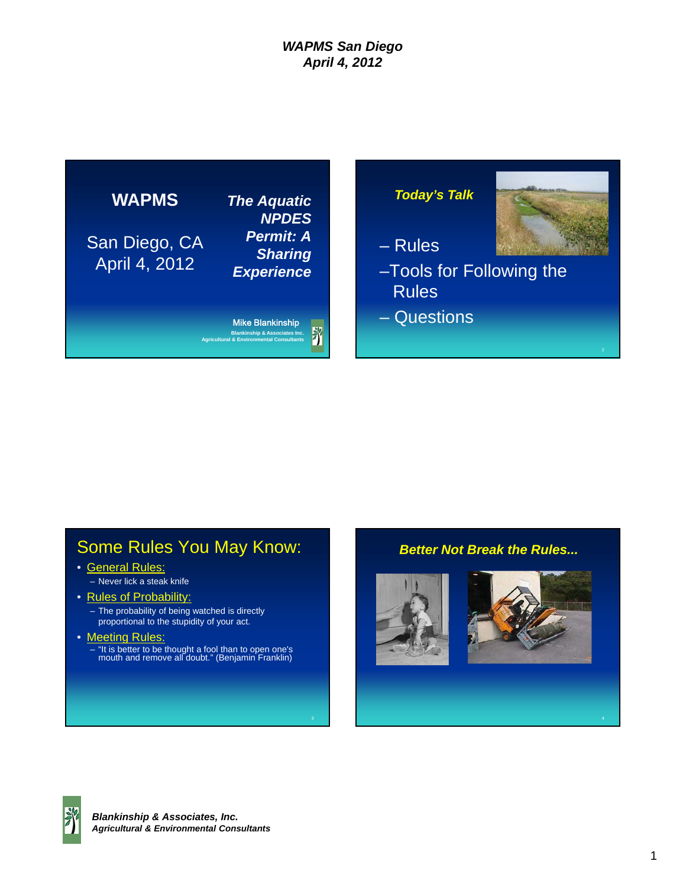

# Some Rules You May Know:

- General Rules:
	- Never lick a steak knife
- Rules of Probability:
	- The probability of being watched is directly proportional to the stupidity of your act.
- Meeting Rules:
	- "It is better to be thought a fool than to open one's mouth and remove all doubt." (Benjamin Franklin)

#### *Better Not Break the Rules...*





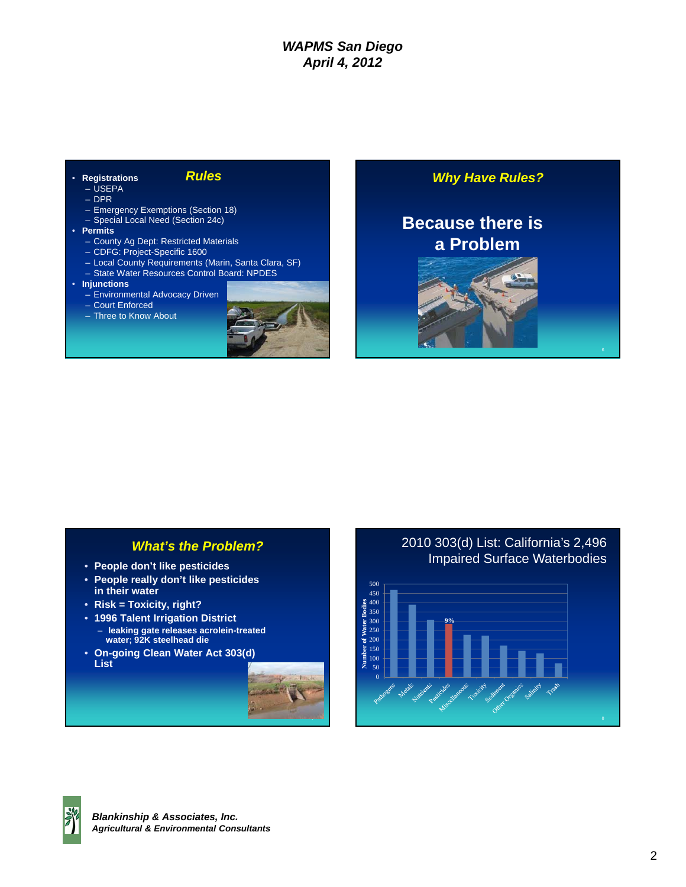| <b>Rules</b><br><b>Registrations</b><br>– USEPA<br>$-$ DPR                                                                                                                                                                | <b>Why Have Rules?</b>               |
|---------------------------------------------------------------------------------------------------------------------------------------------------------------------------------------------------------------------------|--------------------------------------|
| - Emergency Exemptions (Section 18)<br>- Special Local Need (Section 24c)<br>• Permits<br>- County Ag Dept: Restricted Materials<br>- CDFG: Project-Specific 1600<br>- Local County Requirements (Marin, Santa Clara, SF) | <b>Because there is</b><br>a Problem |
| - State Water Resources Control Board: NPDES<br>• Injunctions<br>- Environmental Advocacy Driven<br>- Court Enforced<br>- Three to Know About                                                                             |                                      |

#### *What's the Problem?*

- **People don't like pesticides**
- **People really don't like pesticides in their water**
- **Risk = Toxicity, right?**
- **1996 Talent Irrigation District** – **leaking gate releases acrolein-treated**
- **water; 92K steelhead die**
- **On-going Clean Water Act 303(d) List**



#### 2010 303(d) List: California's 2,496 Impaired Surface Waterbodies



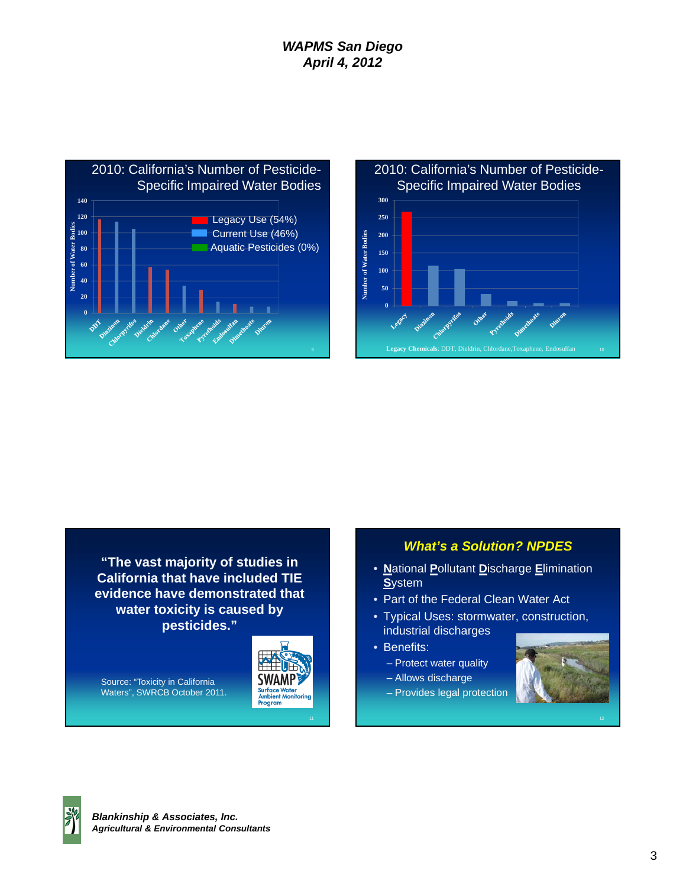

#### 2010: California's Number of Pesticide-Specific Impaired Water Bodies **300 250 Number of Water Bodies**  Number of Water Bodies **200 150 100 50 0 Legacy Chemicals**: DDT, Dieldrin, Chlordane,Toxaphene, Endosulfan

**"The vast majority of studies in California that have included TIE evidence have demonstrated that water toxicity is caused by pesticides."**

Source: "Toxicity in California Waters", SWRCB October 2011.



#### *What's a Solution? NPDES*

- **N**ational **P**ollutant **D**ischarge **E**limination **S**ystem
- Part of the Federal Clean Water Act
- Typical Uses: stormwater, construction, industrial discharges
- Benefits:
	- Protect water quality
	- Allows discharge
	- Provides legal protection



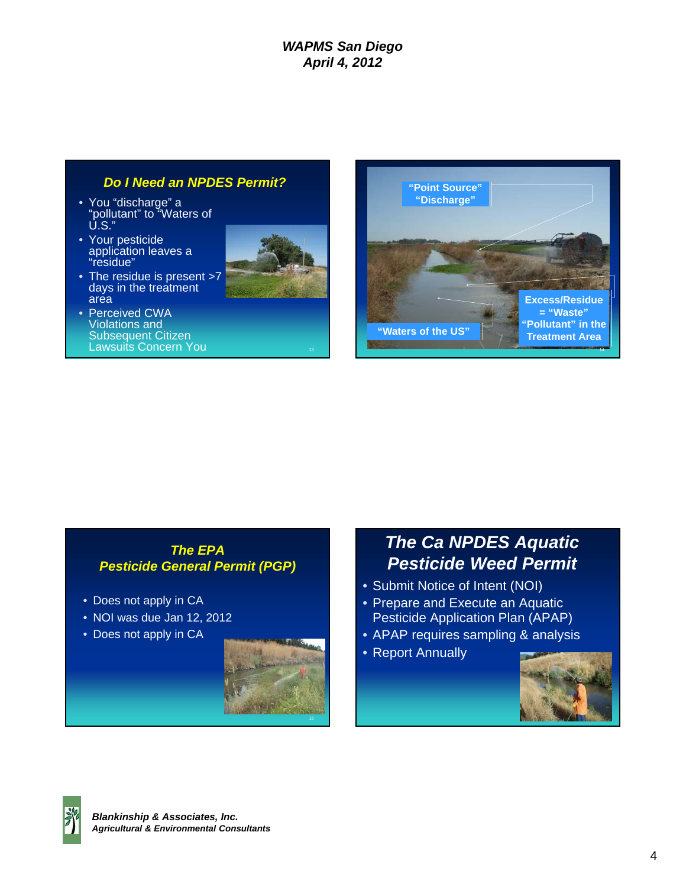## *Do I Need an NPDES Permit?*

- You "discharge" a "pollutant" to "Waters of U.S."
- Your pesticide application leaves a "residue"
- The residue is present >7 days in the treatment area
- Perceived CWA Violations and Subsequent Citizen Lawsuits Concern You





#### *The EPA Pesticide General Permit (PGP)*

- Does not apply in CA
- NOI was due Jan 12, 2012
- Does not apply in CA



# *The Ca NPDES Aquatic Pesticide Weed Permit*

- Submit Notice of Intent (NOI)
- Prepare and Execute an Aquatic Pesticide Application Plan (APAP)
- APAP requires sampling & analysis
- Report Annually



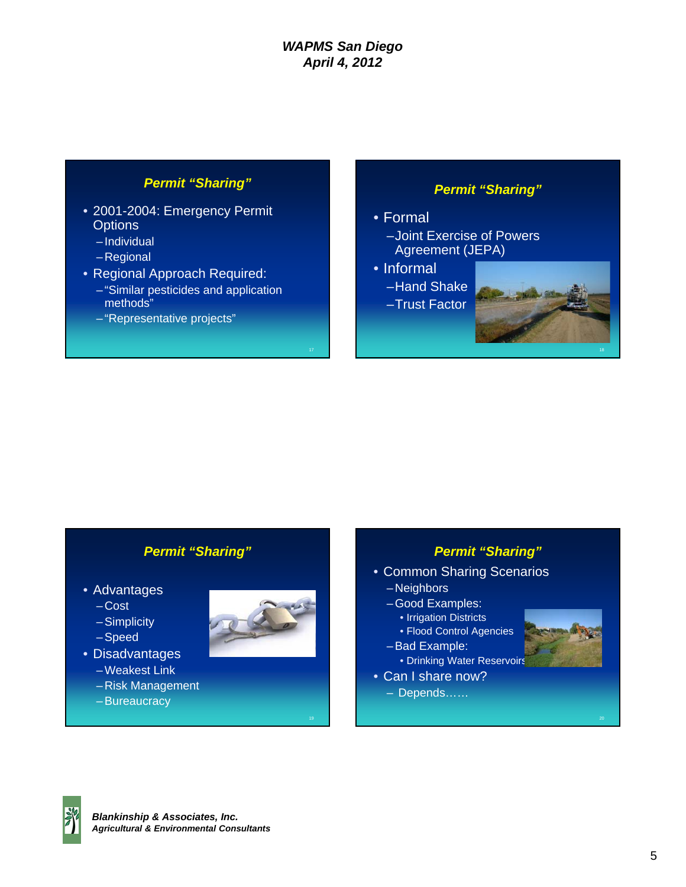## *Permit "Sharing"*

- 2001-2004: Emergency Permit **Options** 
	- Individual
	- Regional
- Regional Approach Required:
	- "Similar pesticides and application methods"
	- "Representative projects"

## *Permit "Sharing"*

#### • Formal

- –Joint Exercise of Powers Agreement (JEPA)
- Informal
- –Hand Shake
- –Trust Factor



### *Permit "Sharing"*

- Advantages
	- Cost
	- Simplicity
	- Speed
- Disadvantages
	- Weakest Link
	- Risk Management
	- Bureaucracy



## *Permit "Sharing"*

- Common Sharing Scenarios – Neighbors
	- Good Examples:
		- Irrigation Districts
	- Flood Control Agencies
	- Bad Example:
	- Drinking Water Reservoirs
- Can I share now?
	- Depends……